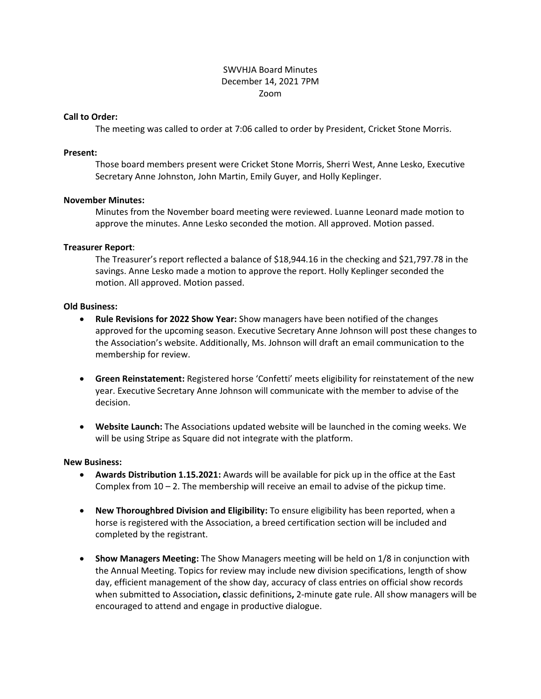# SWVHJA Board Minutes December 14, 2021 7PM Zoom

#### **Call to Order:**

The meeting was called to order at 7:06 called to order by President, Cricket Stone Morris.

# **Present:**

Those board members present were Cricket Stone Morris, Sherri West, Anne Lesko, Executive Secretary Anne Johnston, John Martin, Emily Guyer, and Holly Keplinger.

# **November Minutes:**

Minutes from the November board meeting were reviewed. Luanne Leonard made motion to approve the minutes. Anne Lesko seconded the motion. All approved. Motion passed.

# **Treasurer Report**:

The Treasurer's report reflected a balance of \$18,944.16 in the checking and \$21,797.78 in the savings. Anne Lesko made a motion to approve the report. Holly Keplinger seconded the motion. All approved. Motion passed.

# **Old Business:**

- **Rule Revisions for 2022 Show Year:** Show managers have been notified of the changes approved for the upcoming season. Executive Secretary Anne Johnson will post these changes to the Association's website. Additionally, Ms. Johnson will draft an email communication to the membership for review.
- **Green Reinstatement:** Registered horse 'Confetti' meets eligibility for reinstatement of the new year. Executive Secretary Anne Johnson will communicate with the member to advise of the decision.
- **Website Launch:** The Associations updated website will be launched in the coming weeks. We will be using Stripe as Square did not integrate with the platform.

## **New Business:**

- **Awards Distribution 1.15.2021:** Awards will be available for pick up in the office at the East Complex from  $10 - 2$ . The membership will receive an email to advise of the pickup time.
- **New Thoroughbred Division and Eligibility:** To ensure eligibility has been reported, when a horse is registered with the Association, a breed certification section will be included and completed by the registrant.
- **Show Managers Meeting:** The Show Managers meeting will be held on 1/8 in conjunction with the Annual Meeting. Topics for review may include new division specifications, length of show day, efficient management of the show day, accuracy of class entries on official show records when submitted to Association**, c**lassic definitions**,** 2-minute gate rule. All show managers will be encouraged to attend and engage in productive dialogue.